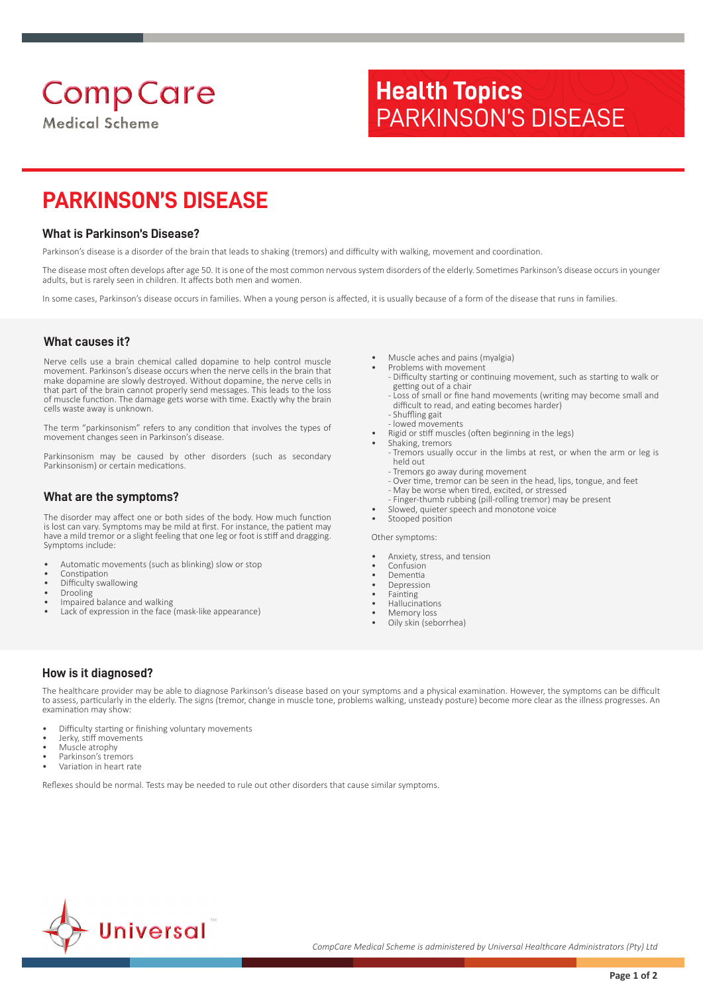# **Health Topics** PARKINSON'S DISEASE

# **PARKINSON'S DISEASE**

# **What is Parkinson's Disease?**

Parkinson's disease is a disorder of the brain that leads to shaking (tremors) and difficulty with walking, movement and coordination.

The disease most often develops after age 50. It is one of the most common nervous system disorders of the elderly. Sometimes Parkinson's disease occurs in younger adults, but is rarely seen in children. It affects both men and women.

In some cases, Parkinson's disease occurs in families. When a young person is affected, it is usually because of a form of the disease that runs in families.

#### **What causes it?**

Nerve cells use a brain chemical called dopamine to help control muscle movement. Parkinson's disease occurs when the nerve cells in the brain that make dopamine are slowly destroyed. Without dopamine, the nerve cells in that part of the brain cannot properly send messages. This leads to the loss of muscle function. The damage gets worse with time. Exactly why the brain cells waste away is unknown.

The term "parkinsonism" refers to any condition that involves the types of movement changes seen in Parkinson's disease.

Parkinsonism may be caused by other disorders (such as secondary Parkinsonism) or certain medications.

#### **What are the symptoms?**

The disorder may affect one or both sides of the body. How much function is lost can vary. Symptoms may be mild at first. For instance, the patient may have a mild tremor or a slight feeling that one leg or foot is stiff and dragging. Symptoms include:

- Automatic movements (such as blinking) slow or stop
- Constipation
- Difficulty swallowing
- Drooling
- Impaired balance and walking
- Lack of expression in the face (mask-like appearance)
- Muscle aches and pains (myalgia)
- Problems with movement - Difficulty starting or continuing movement, such as starting to walk or getting out of a chair
- Loss of small or fine hand movements (writing may become small and difficult to read, and eating becomes harder)
- Shuffling gait - lowed movements
- Rigid or stiff muscles (often beginning in the legs)
- Shaking, tremors
	- Tremors usually occur in the limbs at rest, or when the arm or leg is held out
	- Tremors go away during movement
	- Over time, tremor can be seen in the head, lips, tongue, and feet
	- May be worse when tired, excited, or stressed - Finger-thumb rubbing (pill-rolling tremor) may be present
	- Slowed, quieter speech and monotone voice
- Stooped position

Other symptoms:

- Anxiety, stress, and tension
- Confusion
- Dementia
- Depression
- Fainting
- Hallucinations
- Memory loss
- Oily skin (seborrhea)

### **How is it diagnosed?**

The healthcare provider may be able to diagnose Parkinson's disease based on your symptoms and a physical examination. However, the symptoms can be difficult to assess, particularly in the elderly. The signs (tremor, change in muscle tone, problems walking, unsteady posture) become more clear as the illness progresses. An examination may show:

- Difficulty starting or finishing voluntary movements
- Jerky, stiff movements
- Muscle atrophy
- Parkinson's tremors • Variation in heart rate

Reflexes should be normal. Tests may be needed to rule out other disorders that cause similar symptoms.